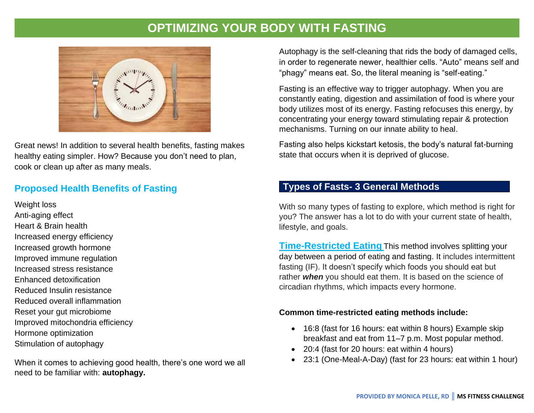# **OPTIMIZING YOUR BODY WITH FASTING**



Great news! In addition to several health benefits, fasting makes healthy eating simpler. How? Because you don't need to plan, cook or clean up after as many meals.

# **Proposed Health Benefits of Fasting**

Weight loss Anti-aging effect Heart & Brain health Increased energy efficiency Increased growth hormone Improved immune regulation Increased stress resistance Enhanced detoxification Reduced Insulin resistance Reduced overall inflammation Reset your gut microbiome Improved mitochondria efficiency Hormone optimization Stimulation of autophagy

When it comes to achieving good health, there's one word we all need to be familiar with: **autophagy.**

Autophagy is the self-cleaning that rids the body of damaged cells, in order to regenerate newer, healthier cells. "Auto" means self and "phagy" means eat. So, the literal meaning is "self-eating."

Fasting is an effective way to trigger autophagy. When you are constantly eating, digestion and assimilation of food is where your body utilizes most of its energy. Fasting refocuses this energy, by concentrating your energy toward stimulating repair & protection mechanisms. Turning on our innate ability to heal.

Fasting also helps kickstart ketosis, the body's natural fat-burning state that occurs when it is deprived of glucose.

### **Types of Fasts- 3 General Methods**

With so many types of fasting to explore, which method is right for you? The answer has a lot to do with your current state of health, lifestyle, and goals.

**Time-Restricted Eating** This method involves splitting your day between a period of eating and fasting. It includes intermittent fasting (IF). It doesn't specify which foods you should eat but rather *when* you should eat them. It is based on the science of circadian rhythms, which impacts every hormone.

#### **Common time-restricted eating methods include:**

- 16:8 (fast for 16 hours: eat within 8 hours) Example skip breakfast and eat from 11–7 p.m. Most popular method.
- 20:4 (fast for 20 hours: eat within 4 hours)
- 23:1 (One-Meal-A-Day) (fast for 23 hours: eat within 1 hour)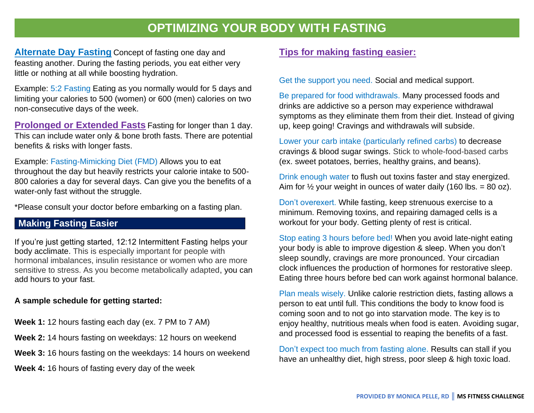# **OPTIMIZING YOUR BODY WITH FASTING**

**Alternate Day Fasting** Concept of fasting one day and feasting another. During the fasting periods, you eat either very little or nothing at all while boosting hydration.

Example: 5:2 Fasting Eating as you normally would for 5 days and limiting your calories to 500 (women) or 600 (men) calories on two non-consecutive days of the week.

**Prolonged or Extended Fasts** Fasting for longer than 1 day. This can include water only & bone broth fasts. There are potential benefits & risks with longer fasts.

Example: Fasting-Mimicking Diet (FMD) Allows you to eat throughout the day but heavily restricts your calorie intake to 500- 800 calories a day for several days. Can give you the benefits of a water-only fast without the struggle.

\*Please consult your doctor before embarking on a fasting plan.

### **Making Fasting Easier**

If you're just getting started, 12:12 Intermittent Fasting helps your body acclimate. This is especially important for people with hormonal imbalances, insulin resistance or women who are more sensitive to stress. As you become metabolically adapted, you can add hours to your fast.

#### **A sample schedule for getting started:**

- **Week 1:** 12 hours fasting each day (ex. 7 PM to 7 AM)
- **Week 2:** 14 hours fasting on weekdays: 12 hours on weekend
- **Week 3:** 16 hours fasting on the weekdays: 14 hours on weekend

**Week 4:** 16 hours of fasting every day of the week

### **Tips for making fasting easier:**

Get the support you need. Social and medical support.

Be prepared for food withdrawals. Many processed foods and drinks are addictive so a person may experience withdrawal symptoms as they eliminate them from their diet. Instead of giving up, keep going! Cravings and withdrawals will subside.

Lower your carb intake (particularly refined carbs) to decrease cravings & blood sugar swings. Stick to whole-food-based carbs (ex. sweet potatoes, berries, healthy grains, and beans).

Drink enough water to flush out toxins faster and stay energized. Aim for  $\frac{1}{2}$  your weight in ounces of water daily (160 lbs. = 80 oz).

Don't overexert. While fasting, keep strenuous exercise to a minimum. Removing toxins, and repairing damaged cells is a workout for your body. Getting plenty of rest is critical.

Stop eating 3 hours before bed! When you avoid late-night eating your body is able to improve digestion & sleep. When you don't sleep soundly, cravings are more pronounced. Your circadian clock influences the production of hormones for restorative sleep. Eating three hours before bed can work against hormonal balance.

Plan meals wisely. Unlike calorie restriction diets, fasting allows a person to eat until full. This conditions the body to know food is coming soon and to not go into starvation mode. The key is to enjoy healthy, nutritious meals when food is eaten. Avoiding sugar, and processed food is essential to reaping the benefits of a fast.

Don't expect too much from fasting alone. Results can stall if you have an unhealthy diet, high stress, poor sleep & high toxic load.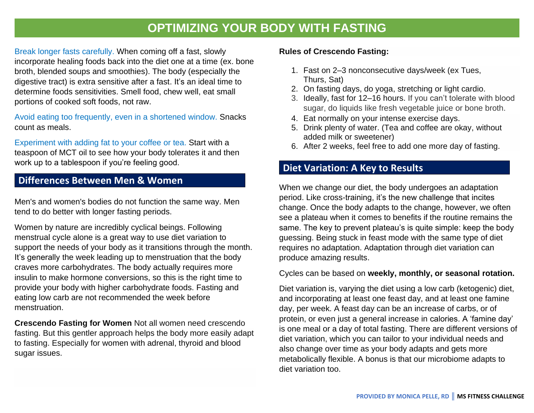# **OPTIMIZING YOUR BODY WITH FASTING**

Break longer fasts carefully. When coming off a fast, slowly incorporate healing foods back into the diet one at a time (ex. bone broth, blended soups and smoothies). The body (especially the digestive tract) is extra sensitive after a fast. It's an ideal time to determine foods sensitivities. Smell food, chew well, eat small portions of cooked soft foods, not raw.

Avoid eating too frequently, even in a shortened window. Snacks count as meals.

Experiment with adding fat to your coffee or tea. Start with a teaspoon of MCT oil to see how your body tolerates it and then work up to a tablespoon if you're feeling good.

# **Differences Between Men & Women**

Men's and women's bodies do not function the same way. Men tend to do better with longer fasting periods.

Women by nature are incredibly cyclical beings. Following menstrual cycle alone is a great way to use diet variation to support the needs of your body as it transitions through the month. It's generally the week leading up to menstruation that the body craves more carbohydrates. The body actually requires more insulin to make hormone conversions, so this is the right time to provide your body with higher carbohydrate foods. Fasting and eating low carb are not recommended the week before menstruation.

**Crescendo Fasting for Women** Not all women need crescendo fasting. But this gentler approach helps the body more easily adapt to fasting. Especially for women with adrenal, thyroid and blood sugar issues.

#### **Rules of Crescendo Fasting:**

- 1. Fast on 2–3 nonconsecutive days/week (ex Tues, Thurs, Sat)
- 2. On fasting days, do yoga, stretching or light cardio.
- 3. Ideally, fast for 12–16 hours. If you can't tolerate with blood sugar, do liquids like fresh vegetable juice or bone broth.
- 4. Eat normally on your intense exercise days.
- 5. Drink plenty of water. (Tea and coffee are okay, without added milk or sweetener)
- 6. After 2 weeks, feel free to add one more day of fasting.

# **Diet Variation: A Key to Results**

When we change our diet, the body undergoes an adaptation period. Like cross-training, it's the new challenge that incites change. Once the body adapts to the change, however, we often see a plateau when it comes to benefits if the routine remains the same. The key to prevent plateau's is quite simple: keep the body guessing. Being stuck in feast mode with the same type of diet requires no adaptation. Adaptation through diet variation can produce amazing results.

#### Cycles can be based on **weekly, monthly, or seasonal rotation.**

Diet variation is, varying the diet using a low carb (ketogenic) diet, and incorporating at least one feast day, and at least one famine day, per week. A feast day can be an increase of carbs, or of protein, or even just a general increase in calories. A 'famine day' is one meal or a day of total fasting. There are different versions of diet variation, which you can tailor to your individual needs and also change over time as your body adapts and gets more metabolically flexible. A bonus is that our microbiome adapts to diet variation too.